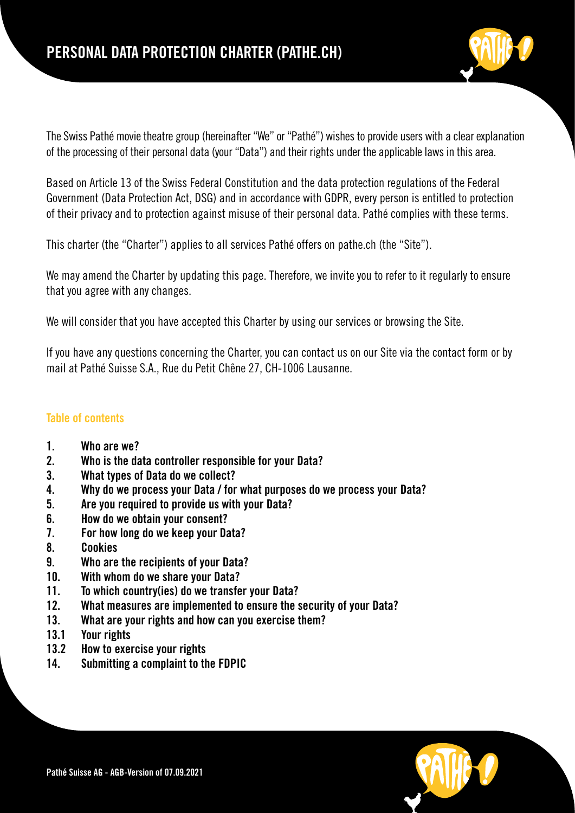

The Swiss Pathé movie theatre group (hereinafter "We" or "Pathé") wishes to provide users with a clear explanation of the processing of their personal data (your "Data") and their rights under the applicable laws in this area.

Based on Article 13 of the Swiss Federal Constitution and the data protection regulations of the Federal Government (Data Protection Act, DSG) and in accordance with GDPR, every person is entitled to protection of their privacy and to protection against misuse of their personal data. Pathé complies with these terms.

This charter (the "Charter") applies to all services Pathé offers on pathe.ch (the "Site").

We may amend the Charter by updating this page. Therefore, we invite you to refer to it regularly to ensure that you agree with any changes.

We will consider that you have accepted this Charter by using our services or browsing the Site.

If you have any questions concerning the Charter, you can contact us on our Site via the contact form or by mail at Pathé Suisse S.A., Rue du Petit Chêne 27, CH-1006 Lausanne.

# Table of contents

- 1. Who are we?
- 2. Who is the data controller responsible for your Data?
- 3. What types of Data do we collect?
- 4. Why do we process your Data / for what purposes do we process your Data?
- 5. Are you required to provide us with your Data?
- 6. How do we obtain your consent?
- 7. For how long do we keep your Data?
- 8. Cookies
- 9. Who are the recipients of your Data?
- 10. With whom do we share your Data?
- 11. To which country(ies) do we transfer your Data?
- 12. What measures are implemented to ensure the security of your Data?
- 13. What are your rights and how can you exercise them?
- 13.1 Your rights
- 13.2 How to exercise your rights
- 14. Submitting a complaint to the FDPIC

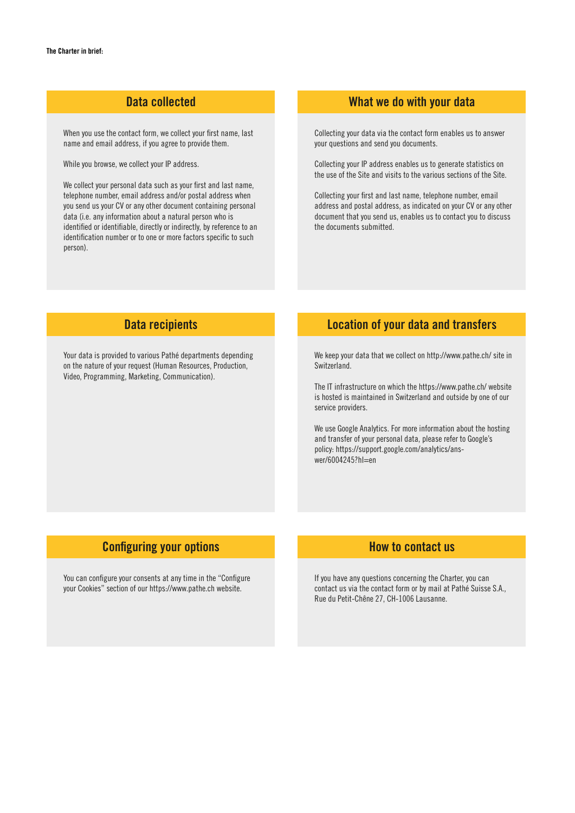## Data collected

When you use the contact form, we collect your first name, last name and email address, if you agree to provide them.

While you browse, we collect your IP address.

We collect your personal data such as your first and last name, telephone number, email address and/or postal address when you send us your CV or any other document containing personal data (i.e. any information about a natural person who is identified or identifiable, directly or indirectly, by reference to an identification number or to one or more factors specific to such person).

## What we do with your data

Collecting your data via the contact form enables us to answer your questions and send you documents.

Collecting your IP address enables us to generate statistics on the use of the Site and visits to the various sections of the Site.

Collecting your first and last name, telephone number, email address and postal address, as indicated on your CV or any other document that you send us, enables us to contact you to discuss the documents submitted.

## Data recipients

Your data is provided to various Pathé departments depending on the nature of your request (Human Resources, Production, Video, Programming, Marketing, Communication).

# Location of your data and transfers

We keep your data that we collect on http://www.pathe.ch/ site in Switzerland.

The IT infrastructure on which the https://www.pathe.ch/ website is hosted is maintained in Switzerland and outside by one of our service providers.

We use Google Analytics. For more information about the hosting and transfer of your personal data, please refer to Google's policy: https://support.google.com/analytics/answer/6004245?hl=en

# Configuring your options

You can configure your consents at any time in the "Configure your Cookies" section of our https://www.pathe.ch website.

# How to contact us

If you have any questions concerning the Charter, you can contact us via the contact form or by mail at Pathé Suisse S.A., Rue du Petit-Chêne 27, CH-1006 Lausanne.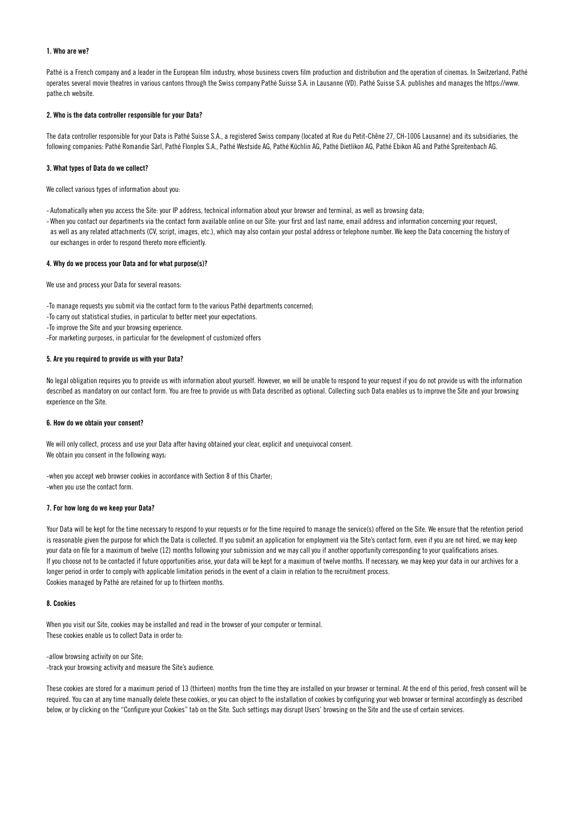### 1. Who are we?

Pathé is a French company and a leader in the European film industry, whose business covers film production and distribution and the operation of cinemas. In Switzerland, Pathé operates several movie theatres in various cantons through the Swiss company Pathé Suisse S.A. in Lausanne (VD). Pathé Suisse S.A. publishes and manages the https://www. pathe.ch website.

#### 2. Who is the data controller responsible for your Data?

The data controller responsible for your Data is Pathé Suisse S.A., a registered Swiss company (located at Rue du Petit-Chêne 27, CH-1006 Lausanne) and its subsidiaries, the following companies: Pathé Romandie Sàrl, Pathé Flonplex S.A., Pathé Westside AG, Pathé Küchlin AG, Pathé Dietlikon AG, Pathé Ebikon AG and Pathé Spreitenbach AG.

### 3. What types of Data do we collect?

We collect various types of information about you:

- Automatically when you access the Site: your IP address, technical information about your browser and terminal, as well as browsing data;
- When you contact our departments via the contact form available online on our Site: your first and last name, email address and information concerning your request, as well as any related attachments (CV, script, images, etc.), which may also contain your postal address or telephone number. We keep the Data concerning the history of our exchanges in order to respond thereto more efficiently.

#### 4. Why do we process your Data and for what purpose(s)?

We use and process your Data for several reasons:

-To manage requests you submit via the contact form to the various Pathé departments concerned;

- -To carry out statistical studies, in particular to better meet your expectations.
- -To improve the Site and your browsing experience.

-For marketing purposes, in particular for the development of customized offers

### 5. Are you required to provide us with your Data?

No legal obligation requires you to provide us with information about yourself. However, we will be unable to respond to your request if you do not provide us with the information described as mandatory on our contact form. You are free to provide us with Data described as optional. Collecting such Data enables us to improve the Site and your browsing experience on the Site.

#### 6. How do we obtain your consent?

We will only collect, process and use your Data after having obtained your clear, explicit and unequivocal consent. We obtain you consent in the following ways:

-when you accept web browser cookies in accordance with Section 8 of this Charter; -when you use the contact form.

### 7. For how long do we keep your Data?

Your Data will be kept for the time necessary to respond to your requests or for the time required to manage the service(s) offered on the Site. We ensure that the retention period is reasonable given the purpose for which the Data is collected. If you submit an application for employment via the Site's contact form, even if you are not hired, we may keep your data on file for a maximum of twelve (12) months following your submission and we may call you if another opportunity corresponding to your qualifications arises. If you choose not to be contacted if future opportunities arise, your data will be kept for a maximum of twelve months. If necessary, we may keep your data in our archives for a longer period in order to comply with applicable limitation periods in the event of a claim in relation to the recruitment process. Cookies managed by Pathé are retained for up to thirteen months.

### 8. Cookies

When you visit our Site, cookies may be installed and read in the browser of your computer or terminal. These cookies enable us to collect Data in order to:

-allow browsing activity on our Site; -track your browsing activity and measure the Site's audience.

These cookies are stored for a maximum period of 13 (thirteen) months from the time they are installed on your browser or terminal. At the end of this period, fresh consent will be required. You can at any time manually delete these cookies, or you can object to the installation of cookies by configuring your web browser or terminal accordingly as described below, or by clicking on the "Configure your Cookies" tab on the Site. Such settings may disrupt Users' browsing on the Site and the use of certain services.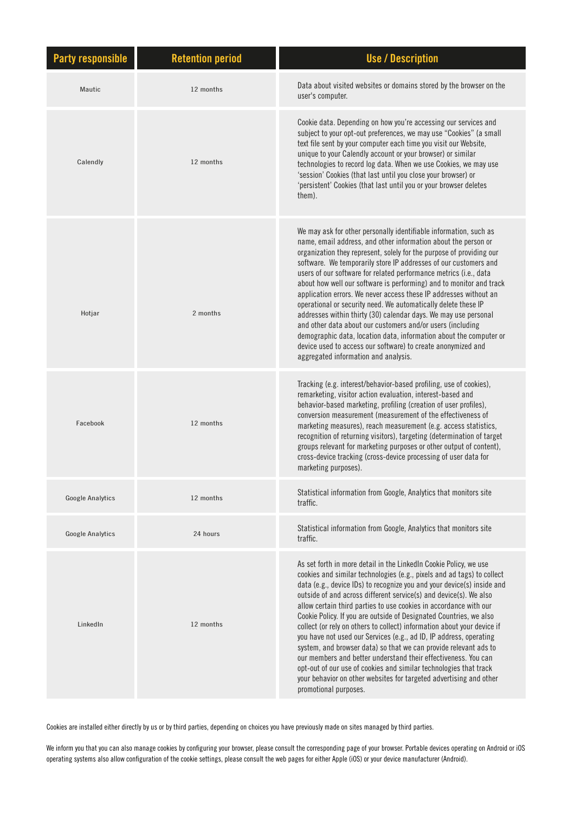| <b>Party responsible</b> | <b>Retention period</b> | <b>Use / Description</b>                                                                                                                                                                                                                                                                                                                                                                                                                                                                                                                                                                                                                                                                                                                                                                                                                                                                         |
|--------------------------|-------------------------|--------------------------------------------------------------------------------------------------------------------------------------------------------------------------------------------------------------------------------------------------------------------------------------------------------------------------------------------------------------------------------------------------------------------------------------------------------------------------------------------------------------------------------------------------------------------------------------------------------------------------------------------------------------------------------------------------------------------------------------------------------------------------------------------------------------------------------------------------------------------------------------------------|
| Mautic                   | 12 months               | Data about visited websites or domains stored by the browser on the<br>user's computer.                                                                                                                                                                                                                                                                                                                                                                                                                                                                                                                                                                                                                                                                                                                                                                                                          |
| Calendly                 | 12 months               | Cookie data. Depending on how you're accessing our services and<br>subject to your opt-out preferences, we may use "Cookies" (a small<br>text file sent by your computer each time you visit our Website,<br>unique to your Calendly account or your browser) or similar<br>technologies to record log data. When we use Cookies, we may use<br>'session' Cookies (that last until you close your browser) or<br>'persistent' Cookies (that last until you or your browser deletes<br>them).                                                                                                                                                                                                                                                                                                                                                                                                     |
| Hotjar                   | 2 months                | We may ask for other personally identifiable information, such as<br>name, email address, and other information about the person or<br>organization they represent, solely for the purpose of providing our<br>software. We temporarily store IP addresses of our customers and<br>users of our software for related performance metrics (i.e., data<br>about how well our software is performing) and to monitor and track<br>application errors. We never access these IP addresses without an<br>operational or security need. We automatically delete these IP<br>addresses within thirty (30) calendar days. We may use personal<br>and other data about our customers and/or users (including<br>demographic data, location data, information about the computer or<br>device used to access our software) to create anonymized and<br>aggregated information and analysis.                |
| Facebook                 | 12 months               | Tracking (e.g. interest/behavior-based profiling, use of cookies),<br>remarketing, visitor action evaluation, interest-based and<br>behavior-based marketing, profiling (creation of user profiles),<br>conversion measurement (measurement of the effectiveness of<br>marketing measures), reach measurement (e.g. access statistics,<br>recognition of returning visitors), targeting (determination of target<br>groups relevant for marketing purposes or other output of content),<br>cross-device tracking (cross-device processing of user data for<br>marketing purposes).                                                                                                                                                                                                                                                                                                               |
| <b>Google Analytics</b>  | 12 months               | Statistical information from Google, Analytics that monitors site<br>traffic.                                                                                                                                                                                                                                                                                                                                                                                                                                                                                                                                                                                                                                                                                                                                                                                                                    |
| <b>Google Analytics</b>  | 24 hours                | Statistical information from Google, Analytics that monitors site<br>traffic.                                                                                                                                                                                                                                                                                                                                                                                                                                                                                                                                                                                                                                                                                                                                                                                                                    |
| LinkedIn                 | 12 months               | As set forth in more detail in the LinkedIn Cookie Policy, we use<br>cookies and similar technologies (e.g., pixels and ad tags) to collect<br>data (e.g., device IDs) to recognize you and your device(s) inside and<br>outside of and across different service(s) and device(s). We also<br>allow certain third parties to use cookies in accordance with our<br>Cookie Policy. If you are outside of Designated Countries, we also<br>collect (or rely on others to collect) information about your device if<br>you have not used our Services (e.g., ad ID, IP address, operating<br>system, and browser data) so that we can provide relevant ads to<br>our members and better understand their effectiveness. You can<br>opt-out of our use of cookies and similar technologies that track<br>your behavior on other websites for targeted advertising and other<br>promotional purposes. |

Cookies are installed either directly by us or by third parties, depending on choices you have previously made on sites managed by third parties.

We inform you that you can also manage cookies by configuring your browser, please consult the corresponding page of your browser. Portable devices operating on Android or iOS operating systems also allow configuration of the cookie settings, please consult the web pages for either Apple (iOS) or your device manufacturer (Android).